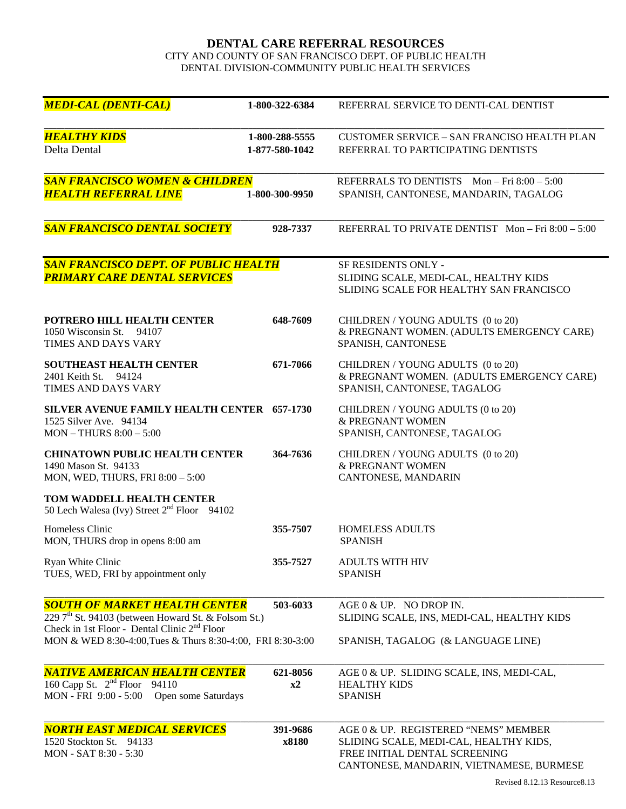## **DENTAL CARE REFERRAL RESOURCES**

CITY AND COUNTY OF SAN FRANCISCO DEPT. OF PUBLIC HEALTH DENTAL DIVISION-COMMUNITY PUBLIC HEALTH SERVICES

| <b>MEDI-CAL (DENTI-CAL)</b>                                                                                                                               | 1-800-322-6384                   | REFERRAL SERVICE TO DENTI-CAL DENTIST                                                                                                                       |
|-----------------------------------------------------------------------------------------------------------------------------------------------------------|----------------------------------|-------------------------------------------------------------------------------------------------------------------------------------------------------------|
| <b>HEALTHY KIDS</b><br>Delta Dental                                                                                                                       | 1-800-288-5555<br>1-877-580-1042 | <b>CUSTOMER SERVICE - SAN FRANCISO HEALTH PLAN</b><br>REFERRAL TO PARTICIPATING DENTISTS                                                                    |
| <b>SAN FRANCISCO WOMEN &amp; CHILDREN</b><br><b>HEALTH REFERRAL LINE</b>                                                                                  | 1-800-300-9950                   | REFERRALS TO DENTISTS Mon-Fri 8:00 - 5:00<br>SPANISH, CANTONESE, MANDARIN, TAGALOG                                                                          |
|                                                                                                                                                           |                                  |                                                                                                                                                             |
| <b>SAN FRANCISCO DENTAL SOCIETY</b>                                                                                                                       | 928-7337                         | REFERRAL TO PRIVATE DENTIST Mon-Fri 8:00 - 5:00                                                                                                             |
| <b>SAN FRANCISCO DEPT. OF PUBLIC HEALTH</b><br><b>PRIMARY CARE DENTAL SERVICES</b>                                                                        |                                  | <b>SF RESIDENTS ONLY -</b><br>SLIDING SCALE, MEDI-CAL, HEALTHY KIDS<br>SLIDING SCALE FOR HEALTHY SAN FRANCISCO                                              |
| POTRERO HILL HEALTH CENTER<br>1050 Wisconsin St.<br>94107<br>TIMES AND DAYS VARY                                                                          | 648-7609                         | CHILDREN / YOUNG ADULTS (0 to 20)<br>& PREGNANT WOMEN. (ADULTS EMERGENCY CARE)<br>SPANISH, CANTONESE                                                        |
| <b>SOUTHEAST HEALTH CENTER</b><br>2401 Keith St.<br>94124<br>TIMES AND DAYS VARY                                                                          | 671-7066                         | CHILDREN / YOUNG ADULTS (0 to 20)<br>& PREGNANT WOMEN. (ADULTS EMERGENCY CARE)<br>SPANISH, CANTONESE, TAGALOG                                               |
| SILVER AVENUE FAMILY HEALTH CENTER 657-1730<br>1525 Silver Ave. 94134<br>MON - THURS 8:00 - 5:00                                                          |                                  | CHILDREN / YOUNG ADULTS (0 to 20)<br>& PREGNANT WOMEN<br>SPANISH, CANTONESE, TAGALOG                                                                        |
| <b>CHINATOWN PUBLIC HEALTH CENTER</b><br>1490 Mason St. 94133<br>MON, WED, THURS, FRI 8:00 - 5:00                                                         | 364-7636                         | CHILDREN / YOUNG ADULTS (0 to 20)<br>& PREGNANT WOMEN<br>CANTONESE, MANDARIN                                                                                |
| TOM WADDELL HEALTH CENTER<br>50 Lech Walesa (Ivy) Street 2 <sup>nd</sup> Floor 94102                                                                      |                                  |                                                                                                                                                             |
| Homeless Clinic<br>MON, THURS drop in opens 8:00 am                                                                                                       | 355-7507                         | <b>HOMELESS ADULTS</b><br><b>SPANISH</b>                                                                                                                    |
| Ryan White Clinic<br>TUES, WED, FRI by appointment only                                                                                                   | 355-7527                         | <b>ADULTS WITH HIV</b><br><b>SPANISH</b>                                                                                                                    |
| <b>SOUTH OF MARKET HEALTH CENTER</b><br>229 7 <sup>th</sup> St. 94103 (between Howard St. & Folsom St.)<br>Check in 1st Floor - Dental Clinic $2nd$ Floor | 503-6033                         | AGE 0 & UP. NO DROP IN.<br>SLIDING SCALE, INS, MEDI-CAL, HEALTHY KIDS                                                                                       |
| MON & WED 8:30-4:00, Tues & Thurs 8:30-4:00, FRI 8:30-3:00                                                                                                |                                  | SPANISH, TAGALOG (& LANGUAGE LINE)                                                                                                                          |
| <b>NATIVE AMERICAN HEALTH CENTER</b><br>160 Capp St. $2^{nd}$ Floor 94110<br>MON - FRI 9:00 - 5:00<br>Open some Saturdays                                 | 621-8056<br>$x^2$                | AGE 0 & UP. SLIDING SCALE, INS, MEDI-CAL,<br><b>HEALTHY KIDS</b><br><b>SPANISH</b>                                                                          |
| <b>NORTH EAST MEDICAL SERVICES</b><br>1520 Stockton St. 94133<br>MON - SAT 8:30 - 5:30                                                                    | 391-9686<br>x8180                | AGE 0 & UP. REGISTERED "NEMS" MEMBER<br>SLIDING SCALE, MEDI-CAL, HEALTHY KIDS,<br>FREE INITIAL DENTAL SCREENING<br>CANTONESE, MANDARIN, VIETNAMESE, BURMESE |